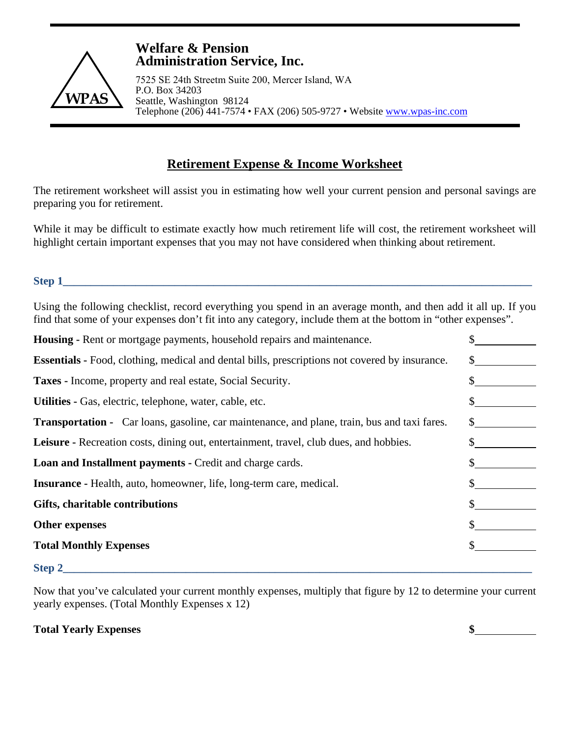

## **Welfare & Pension Administration Service, Inc.**

7525 SE 24th Streetm Suite 200, Mercer Island, WA P.O. Box 34203 Seattle, Washington 98124 Telephone (206) 441-7574 • FAX (206) 505-9727 • Website www.wpas-inc.com

# **Retirement Expense & Income Worksheet**

The retirement worksheet will assist you in estimating how well your current pension and personal savings are preparing you for retirement.

While it may be difficult to estimate exactly how much retirement life will cost, the retirement worksheet will highlight certain important expenses that you may not have considered when thinking about retirement.

## **Step 1\_\_\_\_\_\_\_\_\_\_\_\_\_\_\_\_\_\_\_\_\_\_\_\_\_\_\_\_\_\_\_\_\_\_\_\_\_\_\_\_\_\_\_\_\_\_\_\_\_\_\_\_\_\_\_\_\_\_\_\_\_\_\_\_\_\_\_\_\_\_\_\_\_\_\_\_\_\_\_\_\_\_\_\_**

Using the following checklist, record everything you spend in an average month, and then add it all up. If you find that some of your expenses don't fit into any category, include them at the bottom in "other expenses".

| <b>Housing - Rent or mortgage payments, household repairs and maintenance.</b>                        |  |
|-------------------------------------------------------------------------------------------------------|--|
| <b>Essentials -</b> Food, clothing, medical and dental bills, prescriptions not covered by insurance. |  |
| <b>Taxes - Income, property and real estate, Social Security.</b>                                     |  |
| Utilities - Gas, electric, telephone, water, cable, etc.                                              |  |
| <b>Transportation</b> - Car loans, gasoline, car maintenance, and plane, train, bus and taxi fares.   |  |
| Leisure - Recreation costs, dining out, entertainment, travel, club dues, and hobbies.                |  |
| <b>Loan and Installment payments - Credit and charge cards.</b>                                       |  |
| <b>Insurance</b> - Health, auto, homeowner, life, long-term care, medical.                            |  |
| Gifts, charitable contributions                                                                       |  |
| <b>Other expenses</b>                                                                                 |  |
| <b>Total Monthly Expenses</b>                                                                         |  |
|                                                                                                       |  |

### **Step 2\_\_\_\_\_\_\_\_\_\_\_\_\_\_\_\_\_\_\_\_\_\_\_\_\_\_\_\_\_\_\_\_\_\_\_\_\_\_\_\_\_\_\_\_\_\_\_\_\_\_\_\_\_\_\_\_\_\_\_\_\_\_\_\_\_\_\_\_\_\_\_\_\_\_\_\_\_\_\_\_\_\_\_\_**

Now that you've calculated your current monthly expenses, multiply that figure by 12 to determine your current yearly expenses. (Total Monthly Expenses x 12)

**Total Yearly Expenses \$**